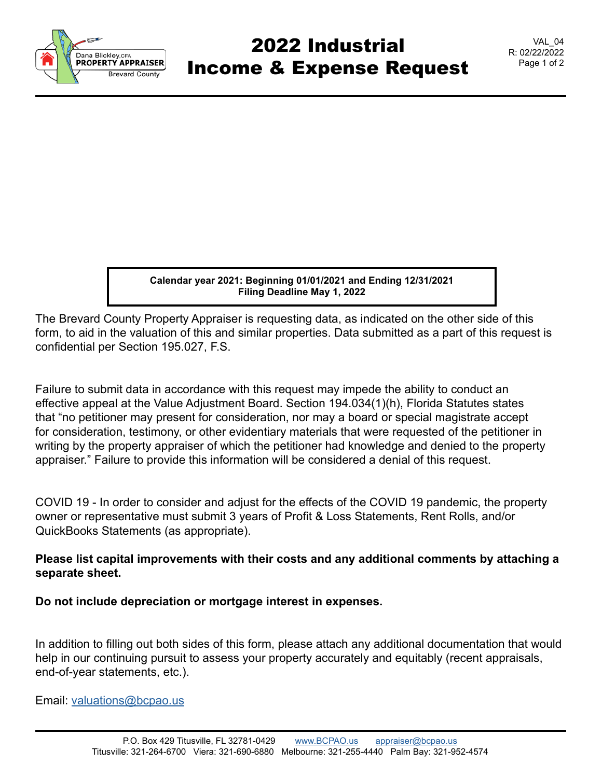

## 2022 Industrial Income & Expense Request

VAL\_04 R: 02/22/2022 Page 1 of 2

**Calendar year 2021: Beginning 01/01/2021 and Ending 12/31/2021 Filing Deadline May 1, 2022**

The Brevard County Property Appraiser is requesting data, as indicated on the other side of this form, to aid in the valuation of this and similar properties. Data submitted as a part of this request is confidential per Section 195.027, F.S.

Failure to submit data in accordance with this request may impede the ability to conduct an effective appeal at the Value Adjustment Board. Section 194.034(1)(h), Florida Statutes states that "no petitioner may present for consideration, nor may a board or special magistrate accept for consideration, testimony, or other evidentiary materials that were requested of the petitioner in writing by the property appraiser of which the petitioner had knowledge and denied to the property appraiser." Failure to provide this information will be considered a denial of this request.

COVID 19 - In order to consider and adjust for the effects of the COVID 19 pandemic, the property owner or representative must submit 3 years of Profit & Loss Statements, Rent Rolls, and/or QuickBooks Statements (as appropriate).

## **Please list capital improvements with their costs and any additional comments by attaching a separate sheet.**

**Do not include depreciation or mortgage interest in expenses.**

In addition to filling out both sides of this form, please attach any additional documentation that would help in our continuing pursuit to assess your property accurately and equitably (recent appraisals, end-of-year statements, etc.).

Email: [valuations@bcpao.us](mailto: valuations@bcpao.us)